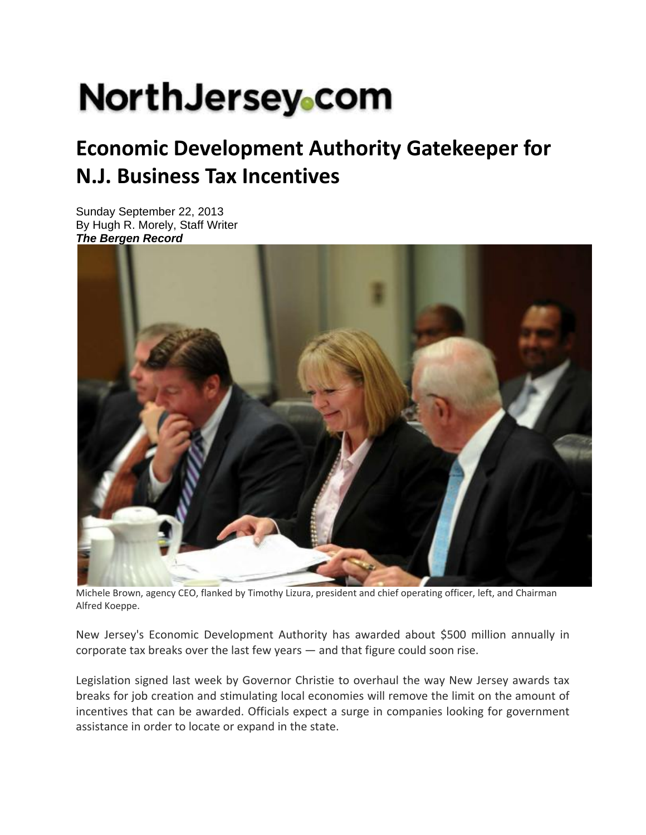# **NorthJersey**.com

## **Economic Development Authority Gatekeeper for N.J. Business Tax Incentives**

Sunday September 22, 2013 By Hugh R. Morely, Staff Writer *The Bergen Record* 



Michele Brown, agency CEO, flanked by Timothy Lizura, president and chief operating officer, left, and Chairman Alfred Koeppe.

New Jersey's Economic Development Authority has awarded about \$500 million annually in corporate tax breaks over the last few years — and that figure could soon rise.

Legislation signed last week by Governor Christie to overhaul the way New Jersey awards tax breaks for job creation and stimulating local economies will remove the limit on the amount of incentives that can be awarded. Officials expect a surge in companies looking for government assistance in order to locate or expand in the state.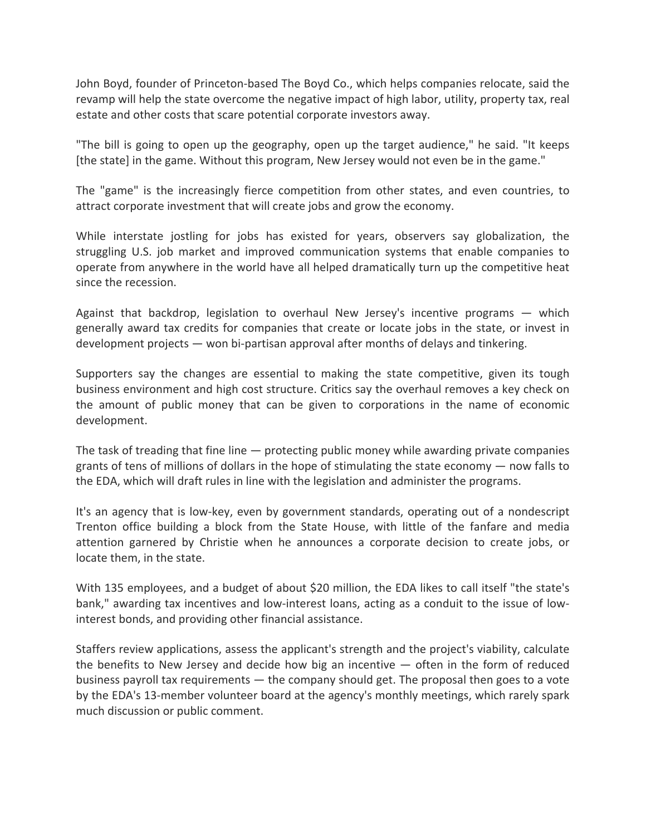John Boyd, founder of Princeton‐based The Boyd Co., which helps companies relocate, said the revamp will help the state overcome the negative impact of high labor, utility, property tax, real estate and other costs that scare potential corporate investors away.

"The bill is going to open up the geography, open up the target audience," he said. "It keeps [the state] in the game. Without this program, New Jersey would not even be in the game."

The "game" is the increasingly fierce competition from other states, and even countries, to attract corporate investment that will create jobs and grow the economy.

While interstate jostling for jobs has existed for years, observers say globalization, the struggling U.S. job market and improved communication systems that enable companies to operate from anywhere in the world have all helped dramatically turn up the competitive heat since the recession.

Against that backdrop, legislation to overhaul New Jersey's incentive programs — which generally award tax credits for companies that create or locate jobs in the state, or invest in development projects — won bi‐partisan approval after months of delays and tinkering.

Supporters say the changes are essential to making the state competitive, given its tough business environment and high cost structure. Critics say the overhaul removes a key check on the amount of public money that can be given to corporations in the name of economic development.

The task of treading that fine line — protecting public money while awarding private companies grants of tens of millions of dollars in the hope of stimulating the state economy — now falls to the EDA, which will draft rules in line with the legislation and administer the programs.

It's an agency that is low-key, even by government standards, operating out of a nondescript Trenton office building a block from the State House, with little of the fanfare and media attention garnered by Christie when he announces a corporate decision to create jobs, or locate them, in the state.

With 135 employees, and a budget of about \$20 million, the EDA likes to call itself "the state's bank," awarding tax incentives and low-interest loans, acting as a conduit to the issue of lowinterest bonds, and providing other financial assistance.

Staffers review applications, assess the applicant's strength and the project's viability, calculate the benefits to New Jersey and decide how big an incentive  $-$  often in the form of reduced business payroll tax requirements — the company should get. The proposal then goes to a vote by the EDA's 13‐member volunteer board at the agency's monthly meetings, which rarely spark much discussion or public comment.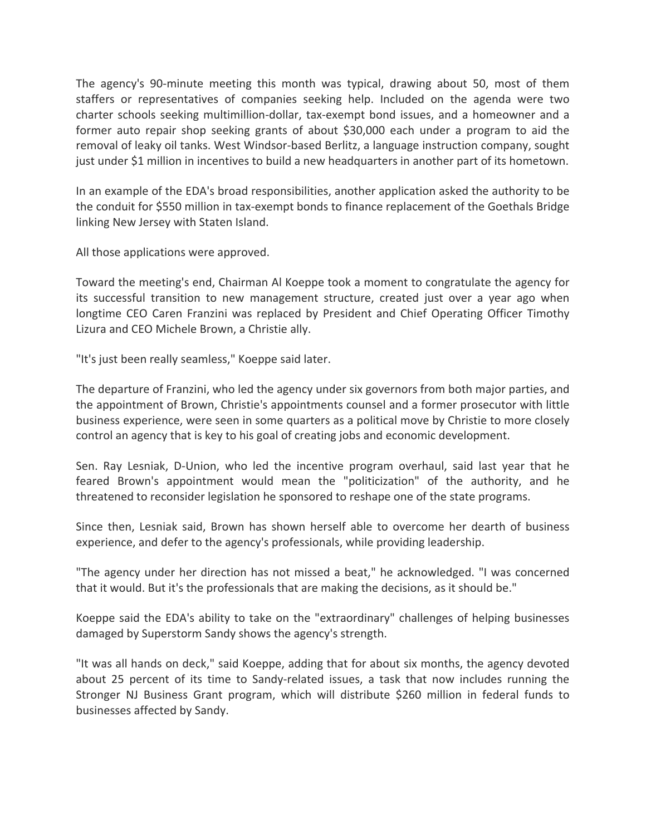The agency's 90-minute meeting this month was typical, drawing about 50, most of them staffers or representatives of companies seeking help. Included on the agenda were two charter schools seeking multimillion‐dollar, tax‐exempt bond issues, and a homeowner and a former auto repair shop seeking grants of about \$30,000 each under a program to aid the removal of leaky oil tanks. West Windsor‐based Berlitz, a language instruction company, sought just under \$1 million in incentives to build a new headquarters in another part of its hometown.

In an example of the EDA's broad responsibilities, another application asked the authority to be the conduit for \$550 million in tax‐exempt bonds to finance replacement of the Goethals Bridge linking New Jersey with Staten Island.

All those applications were approved.

Toward the meeting's end, Chairman Al Koeppe took a moment to congratulate the agency for its successful transition to new management structure, created just over a year ago when longtime CEO Caren Franzini was replaced by President and Chief Operating Officer Timothy Lizura and CEO Michele Brown, a Christie ally.

"It's just been really seamless," Koeppe said later.

The departure of Franzini, who led the agency under six governors from both major parties, and the appointment of Brown, Christie's appointments counsel and a former prosecutor with little business experience, were seen in some quarters as a political move by Christie to more closely control an agency that is key to his goal of creating jobs and economic development.

Sen. Ray Lesniak, D‐Union, who led the incentive program overhaul, said last year that he feared Brown's appointment would mean the "politicization" of the authority, and he threatened to reconsider legislation he sponsored to reshape one of the state programs.

Since then, Lesniak said, Brown has shown herself able to overcome her dearth of business experience, and defer to the agency's professionals, while providing leadership.

"The agency under her direction has not missed a beat," he acknowledged. "I was concerned that it would. But it's the professionals that are making the decisions, as it should be."

Koeppe said the EDA's ability to take on the "extraordinary" challenges of helping businesses damaged by Superstorm Sandy shows the agency's strength.

"It was all hands on deck," said Koeppe, adding that for about six months, the agency devoted about 25 percent of its time to Sandy-related issues, a task that now includes running the Stronger NJ Business Grant program, which will distribute \$260 million in federal funds to businesses affected by Sandy.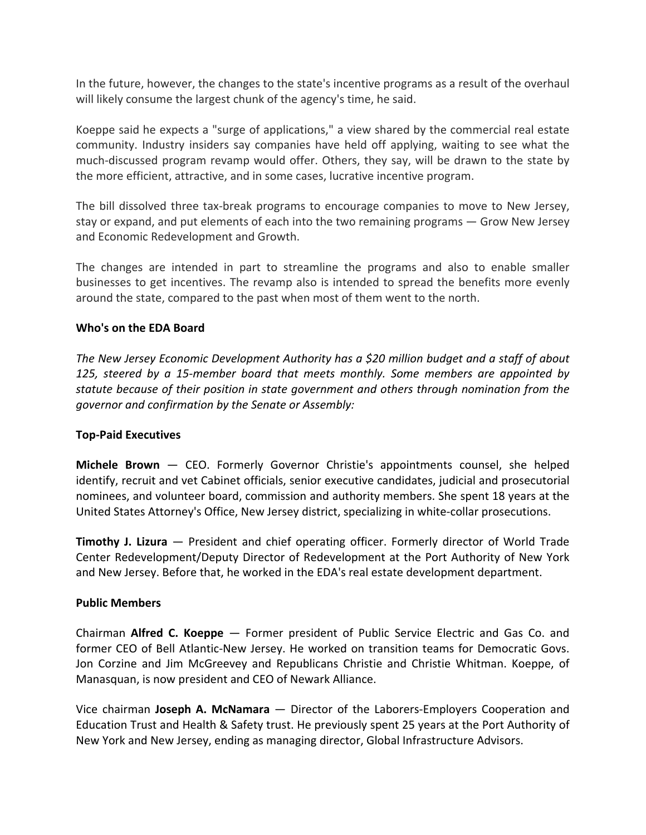In the future, however, the changes to the state's incentive programs as a result of the overhaul will likely consume the largest chunk of the agency's time, he said.

Koeppe said he expects a "surge of applications," a view shared by the commercial real estate community. Industry insiders say companies have held off applying, waiting to see what the much‐discussed program revamp would offer. Others, they say, will be drawn to the state by the more efficient, attractive, and in some cases, lucrative incentive program.

The bill dissolved three tax-break programs to encourage companies to move to New Jersey, stay or expand, and put elements of each into the two remaining programs — Grow New Jersey and Economic Redevelopment and Growth.

The changes are intended in part to streamline the programs and also to enable smaller businesses to get incentives. The revamp also is intended to spread the benefits more evenly around the state, compared to the past when most of them went to the north.

### **Who's on the EDA Board**

*The New Jersey Economic Development Authority has a \$20 million budget and a staff of about 125, steered by a 15‐member board that meets monthly. Some members are appointed by statute because of their position in state government and others through nomination from the governor and confirmation by the Senate or Assembly:*

#### **Top‐Paid Executives**

**Michele Brown** — CEO. Formerly Governor Christie's appointments counsel, she helped identify, recruit and vet Cabinet officials, senior executive candidates, judicial and prosecutorial nominees, and volunteer board, commission and authority members. She spent 18 years at the United States Attorney's Office, New Jersey district, specializing in white‐collar prosecutions.

**Timothy J. Lizura** — President and chief operating officer. Formerly director of World Trade Center Redevelopment/Deputy Director of Redevelopment at the Port Authority of New York and New Jersey. Before that, he worked in the EDA's real estate development department.

#### **Public Members**

Chairman **Alfred C. Koeppe** — Former president of Public Service Electric and Gas Co. and former CEO of Bell Atlantic-New Jersey. He worked on transition teams for Democratic Govs. Jon Corzine and Jim McGreevey and Republicans Christie and Christie Whitman. Koeppe, of Manasquan, is now president and CEO of Newark Alliance.

Vice chairman **Joseph A. McNamara** — Director of the Laborers‐Employers Cooperation and Education Trust and Health & Safety trust. He previously spent 25 years at the Port Authority of New York and New Jersey, ending as managing director, Global Infrastructure Advisors.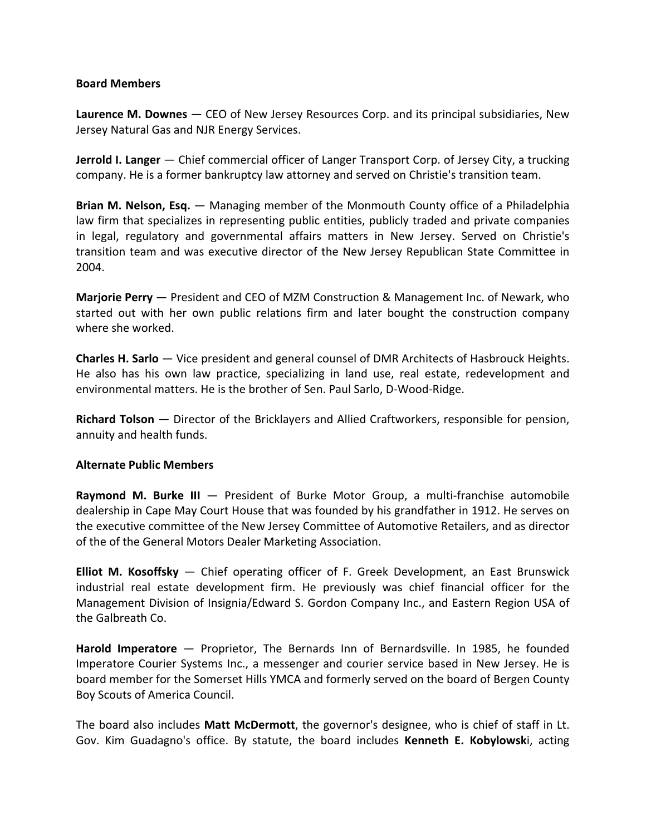#### **Board Members**

**Laurence M. Downes** — CEO of New Jersey Resources Corp. and its principal subsidiaries, New Jersey Natural Gas and NJR Energy Services.

**Jerrold I. Langer** — Chief commercial officer of Langer Transport Corp. of Jersey City, a trucking company. He is a former bankruptcy law attorney and served on Christie's transition team.

**Brian M. Nelson, Esq.** — Managing member of the Monmouth County office of a Philadelphia law firm that specializes in representing public entities, publicly traded and private companies in legal, regulatory and governmental affairs matters in New Jersey. Served on Christie's transition team and was executive director of the New Jersey Republican State Committee in 2004.

**Marjorie Perry** — President and CEO of MZM Construction & Management Inc. of Newark, who started out with her own public relations firm and later bought the construction company where she worked.

**Charles H. Sarlo** — Vice president and general counsel of DMR Architects of Hasbrouck Heights. He also has his own law practice, specializing in land use, real estate, redevelopment and environmental matters. He is the brother of Sen. Paul Sarlo, D‐Wood‐Ridge.

**Richard Tolson** — Director of the Bricklayers and Allied Craftworkers, responsible for pension, annuity and health funds.

#### **Alternate Public Members**

**Raymond M. Burke III** — President of Burke Motor Group, a multi‐franchise automobile dealership in Cape May Court House that was founded by his grandfather in 1912. He serves on the executive committee of the New Jersey Committee of Automotive Retailers, and as director of the of the General Motors Dealer Marketing Association.

**Elliot M. Kosoffsky** — Chief operating officer of F. Greek Development, an East Brunswick industrial real estate development firm. He previously was chief financial officer for the Management Division of Insignia/Edward S. Gordon Company Inc., and Eastern Region USA of the Galbreath Co.

**Harold Imperatore** — Proprietor, The Bernards Inn of Bernardsville. In 1985, he founded Imperatore Courier Systems Inc., a messenger and courier service based in New Jersey. He is board member for the Somerset Hills YMCA and formerly served on the board of Bergen County Boy Scouts of America Council.

The board also includes **Matt McDermott**, the governor's designee, who is chief of staff in Lt. Gov. Kim Guadagno's office. By statute, the board includes **Kenneth E. Kobylowsk**i, acting